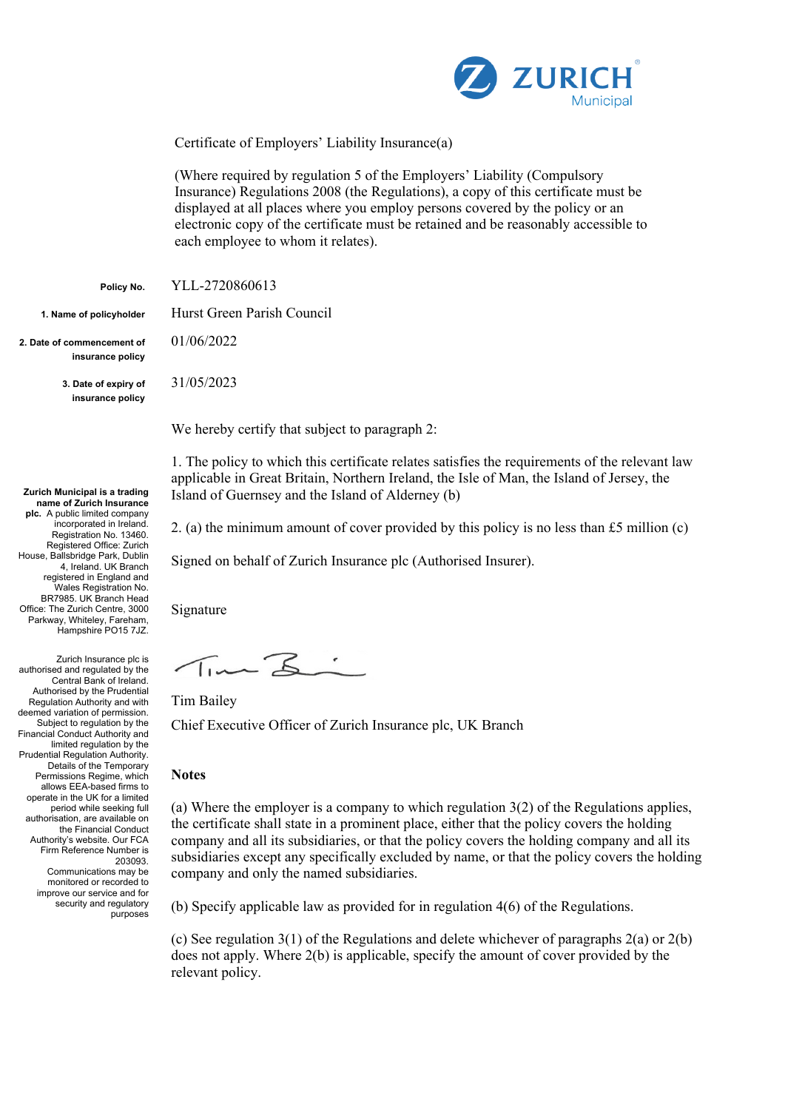

Certificate of Employers' Liability Insurance(a)

(Where required by regulation 5 of the Employers' Liability (Compulsory Insurance) Regulations 2008 (the Regulations), a copy of this certificate must be displayed at all places where you employ persons covered by the policy or an electronic copy of the certificate must be retained and be reasonably accessible to each employee to whom it relates).

**Policy No.** YLL-2720860613

**2. Date of commencement of insurance policy**

> **3. Date of expiry of insurance policy**

**Zurich Municipal is a trading name of Zurich Insurance** 

**plc.** A public limited company incorporated in Ireland. Registration No. 13460. Registered Office: Zurich House, Ballsbridge Park, Dublin 4, Ireland. UK Branch registered in England and Wales Registration No. BR7985. UK Branch Head Office: The Zurich Centre, 3000 Parkway, Whiteley, Fareham, Hampshire PO15 7JZ.

Zurich Insurance plc is authorised and regulated by the Central Bank of Ireland. Authorised by the Prudential Regulation Authority and with deemed variation of permission. Subject to regulation by the Financial Conduct Authority and limited regulation by the Prudential Regulation Authority. Details of the Temporary Permissions Regime, which allows EEA-based firms to operate in the UK for a limited period while seeking full authorisation, are available on the Financial Conduct Authority's website. Our FCA Firm Reference Number is 203093. Communications may be monitored or recorded to improve our service and for security and regulatory

purposes

**1. Name of policyholder** Hurst Green Parish Council

01/06/2022

31/05/2023

We hereby certify that subject to paragraph 2:

1. The policy to which this certificate relates satisfies the requirements of the relevant law applicable in Great Britain, Northern Ireland, the Isle of Man, the Island of Jersey, the Island of Guernsey and the Island of Alderney (b)

2. (a) the minimum amount of cover provided by this policy is no less than £5 million (c)

Signed on behalf of Zurich Insurance plc (Authorised Insurer).

Signature

Time Z:

Tim Bailey

Chief Executive Officer of Zurich Insurance plc, UK Branch

## **Notes**

(a) Where the employer is a company to which regulation 3(2) of the Regulations applies, the certificate shall state in a prominent place, either that the policy covers the holding company and all its subsidiaries, or that the policy covers the holding company and all its subsidiaries except any specifically excluded by name, or that the policy covers the holding company and only the named subsidiaries.

(b) Specify applicable law as provided for in regulation 4(6) of the Regulations.

(c) See regulation 3(1) of the Regulations and delete whichever of paragraphs 2(a) or 2(b) does not apply. Where 2(b) is applicable, specify the amount of cover provided by the relevant policy.